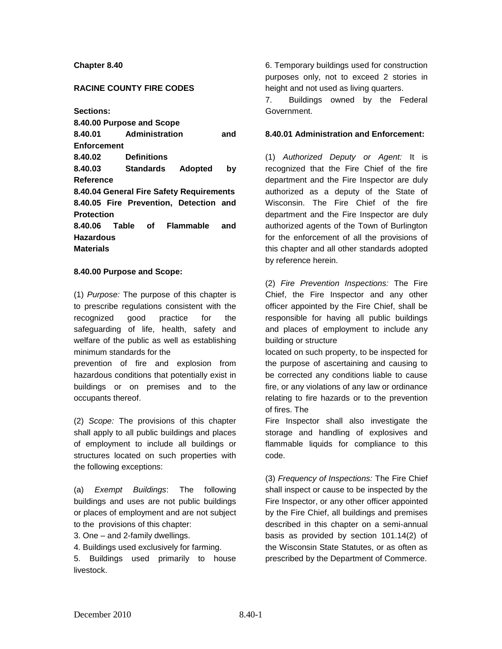## **Chapter 8.40**

## **RACINE COUNTY FIRE CODES**

**Sections:**

**8.40.00 Purpose and Scope 8.40.01 Administration and Enforcement 8.40.02 Definitions 8.40.03 Standards Adopted by Reference 8.40.04 General Fire Safety Requirements 8.40.05 Fire Prevention, Detection and Protection 8.40.06 Table of Flammable and Hazardous Materials**

### **8.40.00 Purpose and Scope:**

(1) *Purpose:* The purpose of this chapter is to prescribe regulations consistent with the recognized good practice for the safeguarding of life, health, safety and welfare of the public as well as establishing minimum standards for the

prevention of fire and explosion from hazardous conditions that potentially exist in buildings or on premises and to the occupants thereof.

(2) *Scope:* The provisions of this chapter shall apply to all public buildings and places of employment to include all buildings or structures located on such properties with the following exceptions:

(a) *Exempt Buildings*: The following buildings and uses are not public buildings or places of employment and are not subject to the provisions of this chapter:

3. One – and 2-family dwellings.

4. Buildings used exclusively for farming.

5. Buildings used primarily to house livestock.

6. Temporary buildings used for construction purposes only, not to exceed 2 stories in height and not used as living quarters.

7. Buildings owned by the Federal Government.

#### **8.40.01 Administration and Enforcement:**

(1) *Authorized Deputy or Agent:* It is recognized that the Fire Chief of the fire department and the Fire Inspector are duly authorized as a deputy of the State of Wisconsin. The Fire Chief of the fire department and the Fire Inspector are duly authorized agents of the Town of Burlington for the enforcement of all the provisions of this chapter and all other standards adopted by reference herein.

(2) *Fire Prevention Inspections:* The Fire Chief, the Fire Inspector and any other officer appointed by the Fire Chief, shall be responsible for having all public buildings and places of employment to include any building or structure

located on such property, to be inspected for the purpose of ascertaining and causing to be corrected any conditions liable to cause fire, or any violations of any law or ordinance relating to fire hazards or to the prevention of fires. The

Fire Inspector shall also investigate the storage and handling of explosives and flammable liquids for compliance to this code.

(3) *Frequency of Inspections:* The Fire Chief shall inspect or cause to be inspected by the Fire Inspector, or any other officer appointed by the Fire Chief, all buildings and premises described in this chapter on a semi-annual basis as provided by section 101.14(2) of the Wisconsin State Statutes, or as often as prescribed by the Department of Commerce.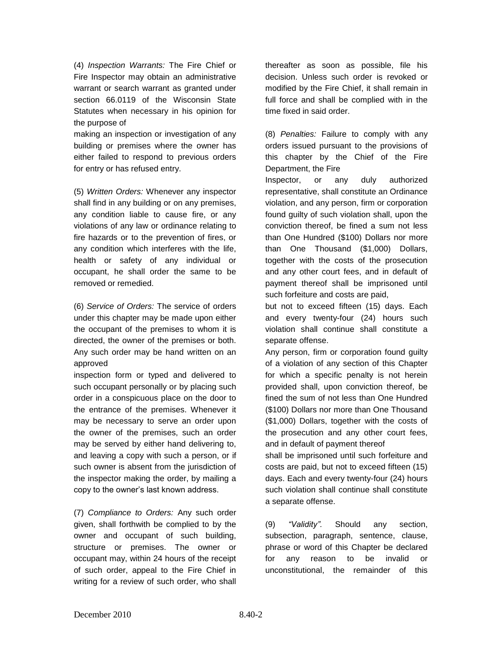(4) *Inspection Warrants:* The Fire Chief or Fire Inspector may obtain an administrative warrant or search warrant as granted under section 66.0119 of the Wisconsin State Statutes when necessary in his opinion for the purpose of

making an inspection or investigation of any building or premises where the owner has either failed to respond to previous orders for entry or has refused entry.

(5) *Written Orders:* Whenever any inspector shall find in any building or on any premises, any condition liable to cause fire, or any violations of any law or ordinance relating to fire hazards or to the prevention of fires, or any condition which interferes with the life, health or safety of any individual or occupant, he shall order the same to be removed or remedied.

(6) *Service of Orders:* The service of orders under this chapter may be made upon either the occupant of the premises to whom it is directed, the owner of the premises or both. Any such order may be hand written on an approved

inspection form or typed and delivered to such occupant personally or by placing such order in a conspicuous place on the door to the entrance of the premises. Whenever it may be necessary to serve an order upon the owner of the premises, such an order may be served by either hand delivering to, and leaving a copy with such a person, or if such owner is absent from the jurisdiction of the inspector making the order, by mailing a copy to the owner's last known address.

(7) *Compliance to Orders:* Any such order given, shall forthwith be complied to by the owner and occupant of such building, structure or premises. The owner or occupant may, within 24 hours of the receipt of such order, appeal to the Fire Chief in writing for a review of such order, who shall

thereafter as soon as possible, file his decision. Unless such order is revoked or modified by the Fire Chief, it shall remain in full force and shall be complied with in the time fixed in said order.

(8) *Penalties:* Failure to comply with any orders issued pursuant to the provisions of this chapter by the Chief of the Fire Department, the Fire

Inspector, or any duly authorized representative, shall constitute an Ordinance violation, and any person, firm or corporation found guilty of such violation shall, upon the conviction thereof, be fined a sum not less than One Hundred (\$100) Dollars nor more than One Thousand (\$1,000) Dollars, together with the costs of the prosecution and any other court fees, and in default of payment thereof shall be imprisoned until such forfeiture and costs are paid,

but not to exceed fifteen (15) days. Each and every twenty-four (24) hours such violation shall continue shall constitute a separate offense.

Any person, firm or corporation found guilty of a violation of any section of this Chapter for which a specific penalty is not herein provided shall, upon conviction thereof, be fined the sum of not less than One Hundred (\$100) Dollars nor more than One Thousand (\$1,000) Dollars, together with the costs of the prosecution and any other court fees, and in default of payment thereof

shall be imprisoned until such forfeiture and costs are paid, but not to exceed fifteen (15) days. Each and every twenty-four (24) hours such violation shall continue shall constitute a separate offense.

(9) *"Validity".* Should any section, subsection, paragraph, sentence, clause, phrase or word of this Chapter be declared for any reason to be invalid or unconstitutional, the remainder of this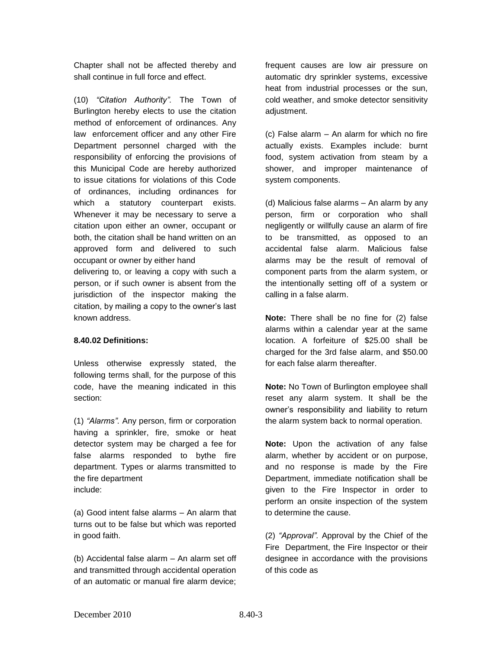Chapter shall not be affected thereby and shall continue in full force and effect.

(10) *"Citation Authority".* The Town of Burlington hereby elects to use the citation method of enforcement of ordinances. Any law enforcement officer and any other Fire Department personnel charged with the responsibility of enforcing the provisions of this Municipal Code are hereby authorized to issue citations for violations of this Code of ordinances, including ordinances for which a statutory counterpart exists. Whenever it may be necessary to serve a citation upon either an owner, occupant or both, the citation shall be hand written on an approved form and delivered to such occupant or owner by either hand delivering to, or leaving a copy with such a person, or if such owner is absent from the jurisdiction of the inspector making the citation, by mailing a copy to the owner's last known address.

### **8.40.02 Definitions:**

Unless otherwise expressly stated, the following terms shall, for the purpose of this code, have the meaning indicated in this section:

(1) *"Alarms".* Any person, firm or corporation having a sprinkler, fire, smoke or heat detector system may be charged a fee for false alarms responded to bythe fire department. Types or alarms transmitted to the fire department include:

(a) Good intent false alarms – An alarm that turns out to be false but which was reported in good faith.

(b) Accidental false alarm – An alarm set off and transmitted through accidental operation of an automatic or manual fire alarm device;

frequent causes are low air pressure on automatic dry sprinkler systems, excessive heat from industrial processes or the sun, cold weather, and smoke detector sensitivity adjustment.

(c) False alarm – An alarm for which no fire actually exists. Examples include: burnt food, system activation from steam by a shower, and improper maintenance of system components.

(d) Malicious false alarms – An alarm by any person, firm or corporation who shall negligently or willfully cause an alarm of fire to be transmitted, as opposed to an accidental false alarm. Malicious false alarms may be the result of removal of component parts from the alarm system, or the intentionally setting off of a system or calling in a false alarm.

**Note:** There shall be no fine for (2) false alarms within a calendar year at the same location. A forfeiture of \$25.00 shall be charged for the 3rd false alarm, and \$50.00 for each false alarm thereafter.

**Note:** No Town of Burlington employee shall reset any alarm system. It shall be the owner's responsibility and liability to return the alarm system back to normal operation.

**Note:** Upon the activation of any false alarm, whether by accident or on purpose, and no response is made by the Fire Department, immediate notification shall be given to the Fire Inspector in order to perform an onsite inspection of the system to determine the cause.

(2) *"Approval".* Approval by the Chief of the Fire Department, the Fire Inspector or their designee in accordance with the provisions of this code as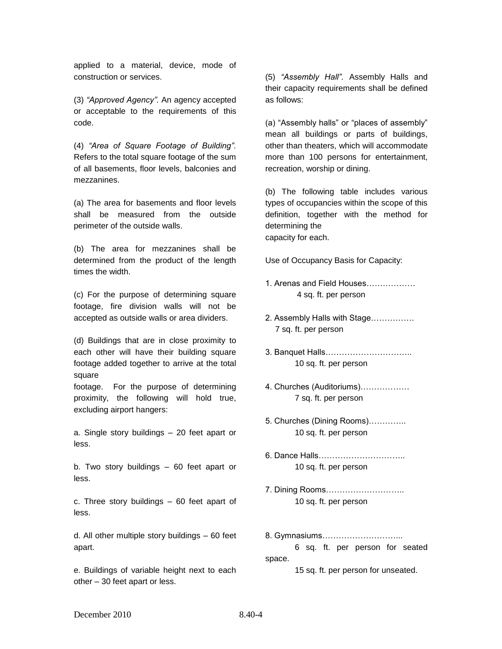applied to a material, device, mode of construction or services.

(3) *"Approved Agency".* An agency accepted or acceptable to the requirements of this code.

(4) *"Area of Square Footage of Building".*  Refers to the total square footage of the sum of all basements, floor levels, balconies and mezzanines.

(a) The area for basements and floor levels shall be measured from the outside perimeter of the outside walls.

(b) The area for mezzanines shall be determined from the product of the length times the width.

(c) For the purpose of determining square footage, fire division walls will not be accepted as outside walls or area dividers.

(d) Buildings that are in close proximity to each other will have their building square footage added together to arrive at the total square

footage. For the purpose of determining proximity, the following will hold true, excluding airport hangers:

a. Single story buildings – 20 feet apart or less.

b. Two story buildings – 60 feet apart or less.

c. Three story buildings – 60 feet apart of less.

d. All other multiple story buildings – 60 feet apart.

e. Buildings of variable height next to each other – 30 feet apart or less.

(5) *"Assembly Hall".* Assembly Halls and their capacity requirements shall be defined as follows:

(a) "Assembly halls" or "places of assembly" mean all buildings or parts of buildings, other than theaters, which will accommodate more than 100 persons for entertainment, recreation, worship or dining.

(b) The following table includes various types of occupancies within the scope of this definition, together with the method for determining the capacity for each.

Use of Occupancy Basis for Capacity:

- 1. Arenas and Field Houses……………… 4 sq. ft. per person
- 2. Assembly Halls with Stage……………. 7 sq. ft. per person
- 3. Banquet Halls………………………….. 10 sq. ft. per person
- 4. Churches (Auditoriums)……………… 7 sq. ft. per person
- 5. Churches (Dining Rooms)………….. 10 sq. ft. per person
- 6. Dance Halls………………………….. 10 sq. ft. per person
- 7. Dining Rooms……………………….. 10 sq. ft. per person
- 8. Gymnasiums………………………...
- 6 sq. ft. per person for seated space.

15 sq. ft. per person for unseated.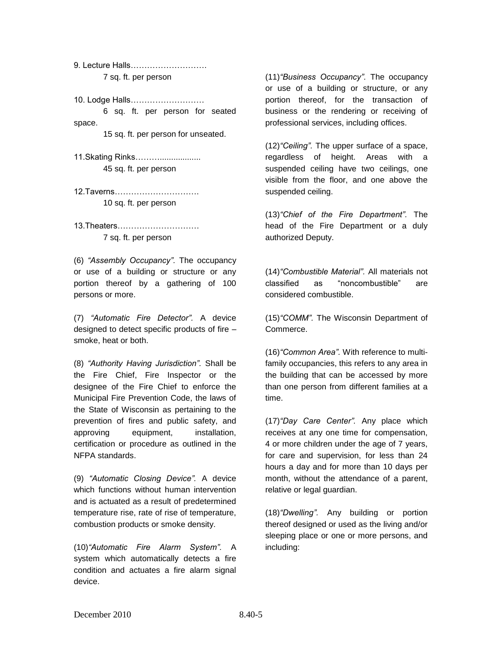9. Lecture Halls………………………. 7 sq. ft. per person

10. Lodge Halls………………………

6 sq. ft. per person for seated space.

15 sq. ft. per person for unseated.

11.Skating Rinks……….................. 45 sq. ft. per person

12.Taverns…………………………. 10 sq. ft. per person

13.Theaters………………………… 7 sq. ft. per person

(6) *"Assembly Occupancy".* The occupancy or use of a building or structure or any portion thereof by a gathering of 100 persons or more.

(7) *"Automatic Fire Detector".* A device designed to detect specific products of fire – smoke, heat or both.

(8) *"Authority Having Jurisdiction".* Shall be the Fire Chief, Fire Inspector or the designee of the Fire Chief to enforce the Municipal Fire Prevention Code, the laws of the State of Wisconsin as pertaining to the prevention of fires and public safety, and approving equipment, installation, certification or procedure as outlined in the NFPA standards.

(9) *"Automatic Closing Device".* A device which functions without human intervention and is actuated as a result of predetermined temperature rise, rate of rise of temperature, combustion products or smoke density.

(10)*"Automatic Fire Alarm System".* A system which automatically detects a fire condition and actuates a fire alarm signal device.

(11)*"Business Occupancy".* The occupancy or use of a building or structure, or any portion thereof, for the transaction of business or the rendering or receiving of professional services, including offices.

(12)*"Ceiling".* The upper surface of a space, regardless of height. Areas with a suspended ceiling have two ceilings, one visible from the floor, and one above the suspended ceiling.

(13)*"Chief of the Fire Department".* The head of the Fire Department or a duly authorized Deputy.

(14)*"Combustible Material".* All materials not classified as "noncombustible" are considered combustible.

(15)*"COMM".* The Wisconsin Department of Commerce.

(16)*"Common Area".* With reference to multifamily occupancies, this refers to any area in the building that can be accessed by more than one person from different families at a time.

(17)*"Day Care Center".* Any place which receives at any one time for compensation, 4 or more children under the age of 7 years, for care and supervision, for less than 24 hours a day and for more than 10 days per month, without the attendance of a parent, relative or legal guardian.

(18)*"Dwelling".* Any building or portion thereof designed or used as the living and/or sleeping place or one or more persons, and including: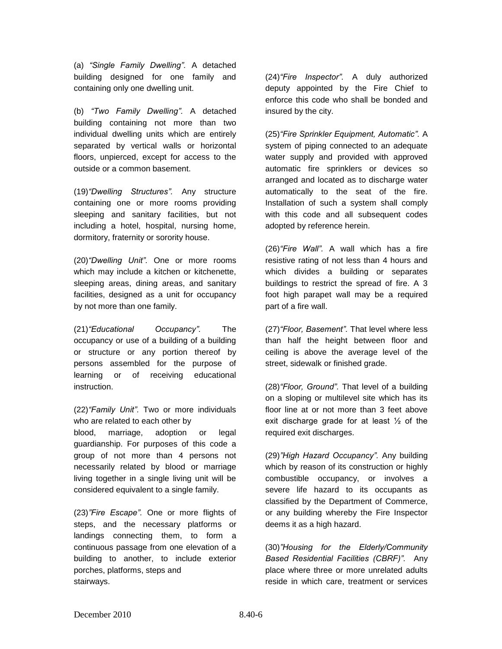(a) *"Single Family Dwelling".* A detached building designed for one family and containing only one dwelling unit.

(b) *"Two Family Dwelling".* A detached building containing not more than two individual dwelling units which are entirely separated by vertical walls or horizontal floors, unpierced, except for access to the outside or a common basement.

(19)*"Dwelling Structures".* Any structure containing one or more rooms providing sleeping and sanitary facilities, but not including a hotel, hospital, nursing home, dormitory, fraternity or sorority house.

(20)*"Dwelling Unit".* One or more rooms which may include a kitchen or kitchenette, sleeping areas, dining areas, and sanitary facilities, designed as a unit for occupancy by not more than one family.

(21)*"Educational Occupancy".* The occupancy or use of a building of a building or structure or any portion thereof by persons assembled for the purpose of learning or of receiving educational instruction.

(22)*"Family Unit".* Two or more individuals who are related to each other by blood, marriage, adoption or legal guardianship. For purposes of this code a group of not more than 4 persons not necessarily related by blood or marriage living together in a single living unit will be considered equivalent to a single family.

(23)*"Fire Escape".* One or more flights of steps, and the necessary platforms or landings connecting them, to form a continuous passage from one elevation of a building to another, to include exterior porches, platforms, steps and stairways.

(24)*"Fire Inspector".* A duly authorized deputy appointed by the Fire Chief to enforce this code who shall be bonded and insured by the city.

(25)*"Fire Sprinkler Equipment, Automatic".* A system of piping connected to an adequate water supply and provided with approved automatic fire sprinklers or devices so arranged and located as to discharge water automatically to the seat of the fire. Installation of such a system shall comply with this code and all subsequent codes adopted by reference herein.

(26)*"Fire Wall".* A wall which has a fire resistive rating of not less than 4 hours and which divides a building or separates buildings to restrict the spread of fire. A 3 foot high parapet wall may be a required part of a fire wall.

(27)*"Floor, Basement".* That level where less than half the height between floor and ceiling is above the average level of the street, sidewalk or finished grade.

(28)*"Floor, Ground".* That level of a building on a sloping or multilevel site which has its floor line at or not more than 3 feet above exit discharge grade for at least  $\frac{1}{2}$  of the required exit discharges.

(29)*"High Hazard Occupancy".* Any building which by reason of its construction or highly combustible occupancy, or involves a severe life hazard to its occupants as classified by the Department of Commerce, or any building whereby the Fire Inspector deems it as a high hazard.

(30)*"Housing for the Elderly/Community Based Residential Facilities (CBRF)".* Any place where three or more unrelated adults reside in which care, treatment or services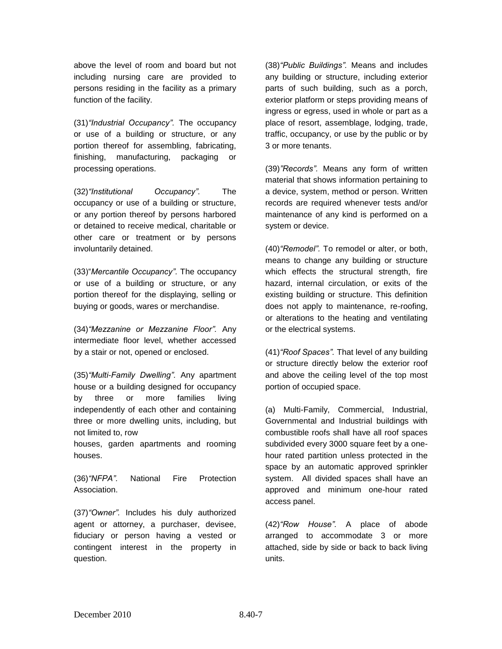above the level of room and board but not including nursing care are provided to persons residing in the facility as a primary function of the facility.

(31)*"Industrial Occupancy".* The occupancy or use of a building or structure, or any portion thereof for assembling, fabricating, finishing, manufacturing, packaging or processing operations.

(32)*"Institutional Occupancy".* The occupancy or use of a building or structure, or any portion thereof by persons harbored or detained to receive medical, charitable or other care or treatment or by persons involuntarily detained.

(33)"*Mercantile Occupancy".* The occupancy or use of a building or structure, or any portion thereof for the displaying, selling or buying or goods, wares or merchandise.

(34)*"Mezzanine or Mezzanine Floor".* Any intermediate floor level, whether accessed by a stair or not, opened or enclosed.

(35)*"Multi-Family Dwelling".* Any apartment house or a building designed for occupancy by three or more families living independently of each other and containing three or more dwelling units, including, but not limited to, row

houses, garden apartments and rooming houses.

(36)*"NFPA".* National Fire Protection Association.

(37)*"Owner".* Includes his duly authorized agent or attorney, a purchaser, devisee, fiduciary or person having a vested or contingent interest in the property in question.

(38)*"Public Buildings".* Means and includes any building or structure, including exterior parts of such building, such as a porch, exterior platform or steps providing means of ingress or egress, used in whole or part as a place of resort, assemblage, lodging, trade, traffic, occupancy, or use by the public or by 3 or more tenants.

(39)*"Records".* Means any form of written material that shows information pertaining to a device, system, method or person. Written records are required whenever tests and/or maintenance of any kind is performed on a system or device.

(40)*"Remodel".* To remodel or alter, or both, means to change any building or structure which effects the structural strength, fire hazard, internal circulation, or exits of the existing building or structure. This definition does not apply to maintenance, re-roofing, or alterations to the heating and ventilating or the electrical systems.

(41)*"Roof Spaces".* That level of any building or structure directly below the exterior roof and above the ceiling level of the top most portion of occupied space.

(a) Multi-Family, Commercial, Industrial, Governmental and Industrial buildings with combustible roofs shall have all roof spaces subdivided every 3000 square feet by a onehour rated partition unless protected in the space by an automatic approved sprinkler system. All divided spaces shall have an approved and minimum one-hour rated access panel.

(42)*"Row House".* A place of abode arranged to accommodate 3 or more attached, side by side or back to back living units.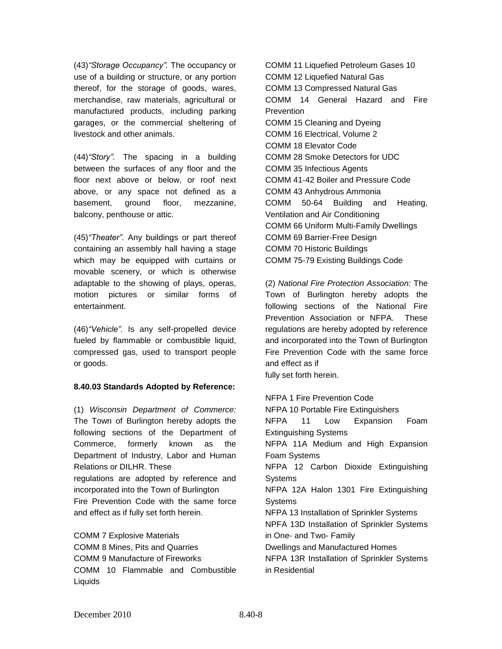(43)*"Storage Occupancy".* The occupancy or use of a building or structure, or any portion thereof, for the storage of goods, wares, merchandise, raw materials, agricultural or manufactured products, including parking garages, or the commercial sheltering of livestock and other animals.

(44)*"Story".* The spacing in a building between the surfaces of any floor and the floor next above or below, or roof next above, or any space not defined as a basement, ground floor, mezzanine, balcony, penthouse or attic.

(45)*"Theater".* Any buildings or part thereof containing an assembly hall having a stage which may be equipped with curtains or movable scenery, or which is otherwise adaptable to the showing of plays, operas, motion pictures or similar forms of entertainment.

(46)*"Vehicle".* Is any self-propelled device fueled by flammable or combustible liquid, compressed gas, used to transport people or goods.

### **8.40.03 Standards Adopted by Reference:**

(1) *Wisconsin Department of Commerce:*  The Town of Burlington hereby adopts the following sections of the Department of Commerce, formerly known as the Department of Industry, Labor and Human Relations or DILHR. These regulations are adopted by reference and incorporated into the Town of Burlington Fire Prevention Code with the same force and effect as if fully set forth herein.

COMM 7 Explosive Materials COMM 8 Mines, Pits and Quarries COMM 9 Manufacture of Fireworks COMM 10 Flammable and Combustible Liquids

COMM 11 Liquefied Petroleum Gases 10 COMM 12 Liquefied Natural Gas COMM 13 Compressed Natural Gas COMM 14 General Hazard and Fire **Prevention** COMM 15 Cleaning and Dyeing COMM 16 Electrical, Volume 2 COMM 18 Elevator Code COMM 28 Smoke Detectors for UDC COMM 35 Infectious Agents COMM 41-42 Boiler and Pressure Code COMM 43 Anhydrous Ammonia COMM 50-64 Building and Heating, Ventilation and Air Conditioning COMM 66 Uniform Multi-Family Dwellings COMM 69 Barrier-Free Design COMM 70 Historic Buildings COMM 75-79 Existing Buildings Code

(2) *National Fire Protection Association:* The Town of Burlington hereby adopts the following sections of the National Fire Prevention Association or NFPA. These regulations are hereby adopted by reference and incorporated into the Town of Burlington Fire Prevention Code with the same force and effect as if

fully set forth herein.

NFPA 1 Fire Prevention Code NFPA 10 Portable Fire Extinguishers NFPA 11 Low Expansion Foam Extinguishing Systems NFPA 11A Medium and High Expansion Foam Systems NFPA 12 Carbon Dioxide Extinguishing Systems NFPA 12A Halon 1301 Fire Extinguishing **Systems** NFPA 13 Installation of Sprinkler Systems NPFA 13D Installation of Sprinkler Systems in One- and Two- Family Dwellings and Manufactured Homes NFPA 13R Installation of Sprinkler Systems in Residential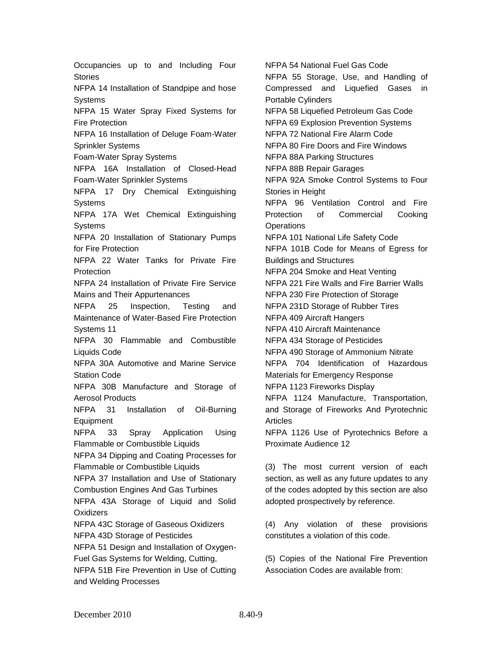Occupancies up to and Including Four **Stories** NFPA 14 Installation of Standpipe and hose **Systems** NFPA 15 Water Spray Fixed Systems for Fire Protection NFPA 16 Installation of Deluge Foam-Water Sprinkler Systems Foam-Water Spray Systems NFPA 16A Installation of Closed-Head Foam-Water Sprinkler Systems NFPA 17 Dry Chemical Extinguishing Systems NFPA 17A Wet Chemical Extinguishing Systems NFPA 20 Installation of Stationary Pumps for Fire Protection NFPA 22 Water Tanks for Private Fire Protection NFPA 24 Installation of Private Fire Service Mains and Their Appurtenances NFPA 25 Inspection, Testing and Maintenance of Water-Based Fire Protection Systems 11 NFPA 30 Flammable and Combustible Liquids Code NFPA 30A Automotive and Marine Service Station Code NFPA 30B Manufacture and Storage of Aerosol Products NFPA 31 Installation of Oil-Burning Equipment NFPA 33 Spray Application Using Flammable or Combustible Liquids NFPA 34 Dipping and Coating Processes for Flammable or Combustible Liquids NFPA 37 Installation and Use of Stationary Combustion Engines And Gas Turbines NFPA 43A Storage of Liquid and Solid **Oxidizers** NFPA 43C Storage of Gaseous Oxidizers NFPA 43D Storage of Pesticides NFPA 51 Design and Installation of Oxygen-Fuel Gas Systems for Welding, Cutting, NFPA 51B Fire Prevention in Use of Cutting and Welding Processes

NFPA 54 National Fuel Gas Code NFPA 55 Storage, Use, and Handling of Compressed and Liquefied Gases in Portable Cylinders NFPA 58 Liquefied Petroleum Gas Code NFPA 69 Explosion Prevention Systems NFPA 72 National Fire Alarm Code NFPA 80 Fire Doors and Fire Windows NFPA 88A Parking Structures NFPA 88B Repair Garages NFPA 92A Smoke Control Systems to Four Stories in Height NFPA 96 Ventilation Control and Fire Protection of Commercial Cooking **Operations** NFPA 101 National Life Safety Code NFPA 101B Code for Means of Egress for Buildings and Structures NFPA 204 Smoke and Heat Venting NFPA 221 Fire Walls and Fire Barrier Walls NFPA 230 Fire Protection of Storage NFPA 231D Storage of Rubber Tires NFPA 409 Aircraft Hangers NFPA 410 Aircraft Maintenance NFPA 434 Storage of Pesticides NFPA 490 Storage of Ammonium Nitrate NFPA 704 Identification of Hazardous Materials for Emergency Response NFPA 1123 Fireworks Display NFPA 1124 Manufacture, Transportation, and Storage of Fireworks And Pyrotechnic Articles NFPA 1126 Use of Pyrotechnics Before a Proximate Audience 12

(3) The most current version of each section, as well as any future updates to any of the codes adopted by this section are also adopted prospectively by reference.

(4) Any violation of these provisions constitutes a violation of this code.

(5) Copies of the National Fire Prevention Association Codes are available from: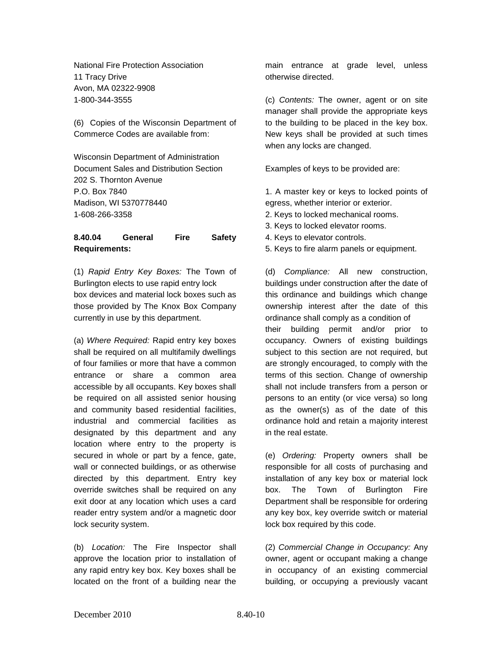National Fire Protection Association 11 Tracy Drive Avon, MA 02322-9908 1-800-344-3555

(6) Copies of the Wisconsin Department of Commerce Codes are available from:

Wisconsin Department of Administration Document Sales and Distribution Section 202 S. Thornton Avenue P.O. Box 7840 Madison, WI 5370778440 1-608-266-3358

# **8.40.04 General Fire Safety Requirements:**

(1) *Rapid Entry Key Boxes:* The Town of Burlington elects to use rapid entry lock box devices and material lock boxes such as those provided by The Knox Box Company currently in use by this department.

(a) *Where Required:* Rapid entry key boxes shall be required on all multifamily dwellings of four families or more that have a common entrance or share a common area accessible by all occupants. Key boxes shall be required on all assisted senior housing and community based residential facilities, industrial and commercial facilities as designated by this department and any location where entry to the property is secured in whole or part by a fence, gate, wall or connected buildings, or as otherwise directed by this department. Entry key override switches shall be required on any exit door at any location which uses a card reader entry system and/or a magnetic door lock security system.

(b) *Location:* The Fire Inspector shall approve the location prior to installation of any rapid entry key box. Key boxes shall be located on the front of a building near the

main entrance at grade level, unless otherwise directed.

(c) *Contents:* The owner, agent or on site manager shall provide the appropriate keys to the building to be placed in the key box. New keys shall be provided at such times when any locks are changed.

Examples of keys to be provided are:

1. A master key or keys to locked points of egress, whether interior or exterior.

- 2. Keys to locked mechanical rooms.
- 3. Keys to locked elevator rooms.
- 4. Keys to elevator controls.
- 5. Keys to fire alarm panels or equipment.

(d) *Compliance:* All new construction, buildings under construction after the date of this ordinance and buildings which change ownership interest after the date of this ordinance shall comply as a condition of their building permit and/or prior to occupancy. Owners of existing buildings subject to this section are not required, but are strongly encouraged, to comply with the terms of this section. Change of ownership shall not include transfers from a person or persons to an entity (or vice versa) so long as the owner(s) as of the date of this ordinance hold and retain a majority interest in the real estate.

(e) *Ordering:* Property owners shall be responsible for all costs of purchasing and installation of any key box or material lock box. The Town of Burlington Fire Department shall be responsible for ordering any key box, key override switch or material lock box required by this code.

(2) *Commercial Change in Occupancy:* Any owner, agent or occupant making a change in occupancy of an existing commercial building, or occupying a previously vacant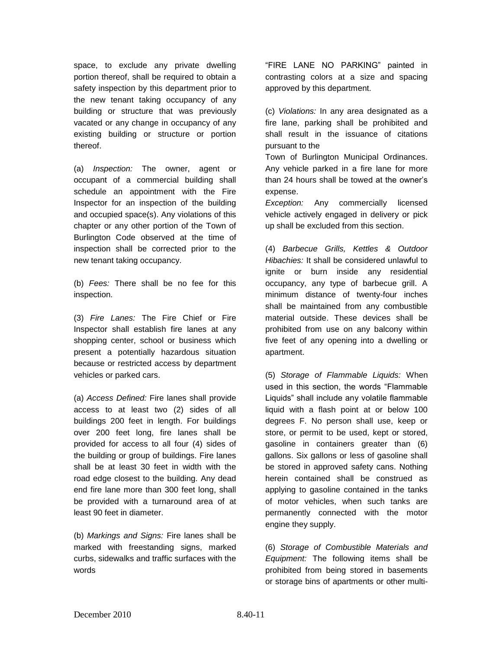space, to exclude any private dwelling portion thereof, shall be required to obtain a safety inspection by this department prior to the new tenant taking occupancy of any building or structure that was previously vacated or any change in occupancy of any existing building or structure or portion thereof.

(a) *Inspection:* The owner, agent or occupant of a commercial building shall schedule an appointment with the Fire Inspector for an inspection of the building and occupied space(s). Any violations of this chapter or any other portion of the Town of Burlington Code observed at the time of inspection shall be corrected prior to the new tenant taking occupancy.

(b) *Fees:* There shall be no fee for this inspection.

(3) *Fire Lanes:* The Fire Chief or Fire Inspector shall establish fire lanes at any shopping center, school or business which present a potentially hazardous situation because or restricted access by department vehicles or parked cars.

(a) *Access Defined:* Fire lanes shall provide access to at least two (2) sides of all buildings 200 feet in length. For buildings over 200 feet long, fire lanes shall be provided for access to all four (4) sides of the building or group of buildings. Fire lanes shall be at least 30 feet in width with the road edge closest to the building. Any dead end fire lane more than 300 feet long, shall be provided with a turnaround area of at least 90 feet in diameter.

(b) *Markings and Signs:* Fire lanes shall be marked with freestanding signs, marked curbs, sidewalks and traffic surfaces with the words

"FIRE LANE NO PARKING" painted in contrasting colors at a size and spacing approved by this department.

(c) *Violations:* In any area designated as a fire lane, parking shall be prohibited and shall result in the issuance of citations pursuant to the

Town of Burlington Municipal Ordinances. Any vehicle parked in a fire lane for more than 24 hours shall be towed at the owner's expense.

*Exception:* Any commercially licensed vehicle actively engaged in delivery or pick up shall be excluded from this section.

(4) *Barbecue Grills, Kettles & Outdoor Hibachies:* It shall be considered unlawful to ignite or burn inside any residential occupancy, any type of barbecue grill. A minimum distance of twenty-four inches shall be maintained from any combustible material outside. These devices shall be prohibited from use on any balcony within five feet of any opening into a dwelling or apartment.

(5) *Storage of Flammable Liquids:* When used in this section, the words "Flammable Liquids" shall include any volatile flammable liquid with a flash point at or below 100 degrees F. No person shall use, keep or store, or permit to be used, kept or stored, gasoline in containers greater than (6) gallons. Six gallons or less of gasoline shall be stored in approved safety cans. Nothing herein contained shall be construed as applying to gasoline contained in the tanks of motor vehicles, when such tanks are permanently connected with the motor engine they supply.

(6) *Storage of Combustible Materials and Equipment:* The following items shall be prohibited from being stored in basements or storage bins of apartments or other multi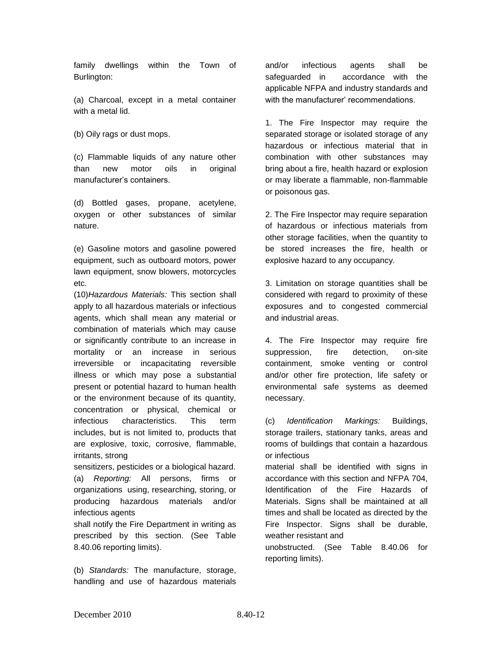family dwellings within the Town of Burlington:

(a) Charcoal, except in a metal container with a metal lid.

(b) Oily rags or dust mops.

(c) Flammable liquids of any nature other than new motor oils in original manufacturer's containers.

(d) Bottled gases, propane, acetylene, oxygen or other substances of similar nature.

(e) Gasoline motors and gasoline powered equipment, such as outboard motors, power lawn equipment, snow blowers, motorcycles etc.

(10)*Hazardous Materials:* This section shall apply to all hazardous materials or infectious agents, which shall mean any material or combination of materials which may cause or significantly contribute to an increase in mortality or an increase in serious irreversible or incapacitating reversible illness or which may pose a substantial present or potential hazard to human health or the environment because of its quantity, concentration or physical, chemical or infectious characteristics. This term includes, but is not limited to, products that are explosive, toxic, corrosive, flammable, irritants, strong

sensitizers, pesticides or a biological hazard. (a) *Reporting:* All persons, firms or organizations using, researching, storing, or producing hazardous materials and/or infectious agents

shall notify the Fire Department in writing as prescribed by this section. (See Table 8.40.06 reporting limits).

(b) *Standards:* The manufacture, storage, handling and use of hazardous materials

and/or infectious agents shall be safeguarded in accordance with the applicable NFPA and industry standards and with the manufacturer' recommendations.

1. The Fire Inspector may require the separated storage or isolated storage of any hazardous or infectious material that in combination with other substances may bring about a fire, health hazard or explosion or may liberate a flammable, non-flammable or poisonous gas.

2. The Fire Inspector may require separation of hazardous or infectious materials from other storage facilities, when the quantity to be stored increases the fire, health or explosive hazard to any occupancy.

3. Limitation on storage quantities shall be considered with regard to proximity of these exposures and to congested commercial and industrial areas.

4. The Fire Inspector may require fire suppression, fire detection, on-site containment, smoke venting or control and/or other fire protection, life safety or environmental safe systems as deemed necessary.

(c) *Identification Markings:* Buildings, storage trailers, stationary tanks, areas and rooms of buildings that contain a hazardous or infectious

material shall be identified with signs in accordance with this section and NFPA 704, Identification of the Fire Hazards of Materials. Signs shall be maintained at all times and shall be located as directed by the Fire Inspector. Signs shall be durable, weather resistant and

unobstructed. (See Table 8.40.06 for reporting limits).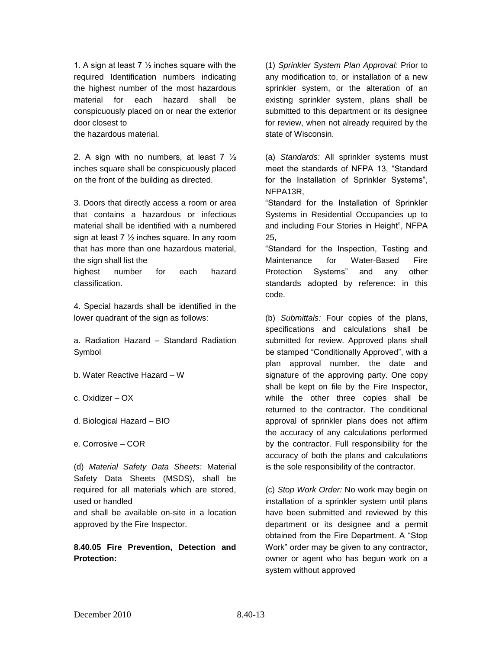1. A sign at least 7  $\frac{1}{2}$  inches square with the required Identification numbers indicating the highest number of the most hazardous material for each hazard shall be conspicuously placed on or near the exterior door closest to

the hazardous material.

2. A sign with no numbers, at least  $7\frac{1}{2}$ inches square shall be conspicuously placed on the front of the building as directed.

3. Doors that directly access a room or area that contains a hazardous or infectious material shall be identified with a numbered sign at least  $7\frac{1}{2}$  inches square. In any room that has more than one hazardous material, the sign shall list the

highest number for each hazard classification.

4. Special hazards shall be identified in the lower quadrant of the sign as follows:

a. Radiation Hazard – Standard Radiation Symbol

- b. Water Reactive Hazard W
- c. Oxidizer OX
- d. Biological Hazard BIO

e. Corrosive – COR

(d) *Material Safety Data Sheets:* Material Safety Data Sheets (MSDS), shall be required for all materials which are stored, used or handled

and shall be available on-site in a location approved by the Fire Inspector.

**8.40.05 Fire Prevention, Detection and Protection:**

(1) *Sprinkler System Plan Approval:* Prior to any modification to, or installation of a new sprinkler system, or the alteration of an existing sprinkler system, plans shall be submitted to this department or its designee for review, when not already required by the state of Wisconsin.

(a) *Standards:* All sprinkler systems must meet the standards of NFPA 13, "Standard for the Installation of Sprinkler Systems", NFPA13R,

"Standard for the Installation of Sprinkler Systems in Residential Occupancies up to and including Four Stories in Height", NFPA 25,

"Standard for the Inspection, Testing and Maintenance for Water-Based Fire Protection Systems" and any other standards adopted by reference: in this code.

(b) *Submittals:* Four copies of the plans, specifications and calculations shall be submitted for review. Approved plans shall be stamped "Conditionally Approved", with a plan approval number, the date and signature of the approving party. One copy shall be kept on file by the Fire Inspector, while the other three copies shall be returned to the contractor. The conditional approval of sprinkler plans does not affirm the accuracy of any calculations performed by the contractor. Full responsibility for the accuracy of both the plans and calculations is the sole responsibility of the contractor.

(c) *Stop Work Order:* No work may begin on installation of a sprinkler system until plans have been submitted and reviewed by this department or its designee and a permit obtained from the Fire Department. A "Stop Work" order may be given to any contractor, owner or agent who has begun work on a system without approved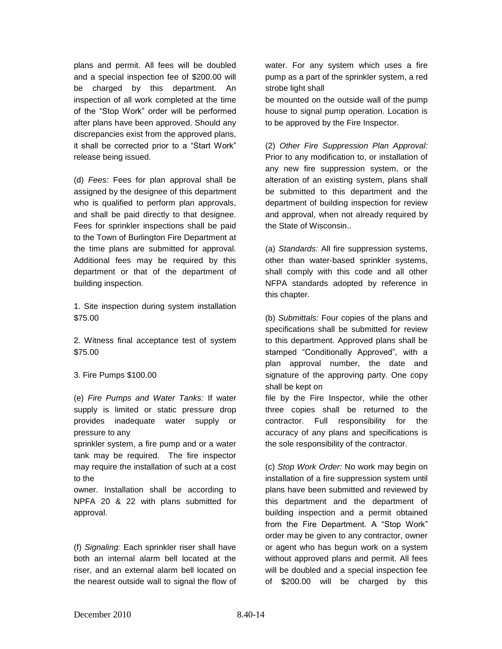plans and permit. All fees will be doubled and a special inspection fee of \$200.00 will be charged by this department. An inspection of all work completed at the time of the "Stop Work" order will be performed after plans have been approved. Should any discrepancies exist from the approved plans, it shall be corrected prior to a "Start Work" release being issued.

(d) *Fees:* Fees for plan approval shall be assigned by the designee of this department who is qualified to perform plan approvals, and shall be paid directly to that designee. Fees for sprinkler inspections shall be paid to the Town of Burlington Fire Department at the time plans are submitted for approval. Additional fees may be required by this department or that of the department of building inspection.

1. Site inspection during system installation \$75.00

2. Witness final acceptance test of system \$75.00

### 3. Fire Pumps \$100.00

(e) *Fire Pumps and Water Tanks:* If water supply is limited or static pressure drop provides inadequate water supply or pressure to any

sprinkler system, a fire pump and or a water tank may be required. The fire inspector may require the installation of such at a cost to the

owner. Installation shall be according to NPFA 20 & 22 with plans submitted for approval.

(f) *Signaling:* Each sprinkler riser shall have both an internal alarm bell located at the riser, and an external alarm bell located on the nearest outside wall to signal the flow of

water. For any system which uses a fire pump as a part of the sprinkler system, a red strobe light shall

be mounted on the outside wall of the pump house to signal pump operation. Location is to be approved by the Fire Inspector.

(2) *Other Fire Suppression Plan Approval:*  Prior to any modification to, or installation of any new fire suppression system, or the alteration of an existing system, plans shall be submitted to this department and the department of building inspection for review and approval, when not already required by the State of Wisconsin..

(a) *Standards:* All fire suppression systems, other than water-based sprinkler systems, shall comply with this code and all other NFPA standards adopted by reference in this chapter.

(b) *Submittals:* Four copies of the plans and specifications shall be submitted for review to this department. Approved plans shall be stamped "Conditionally Approved", with a plan approval number, the date and signature of the approving party. One copy shall be kept on

file by the Fire Inspector, while the other three copies shall be returned to the contractor. Full responsibility for the accuracy of any plans and specifications is the sole responsibility of the contractor.

(c) *Stop Work Order:* No work may begin on installation of a fire suppression system until plans have been submitted and reviewed by this department and the department of building inspection and a permit obtained from the Fire Department. A "Stop Work" order may be given to any contractor, owner or agent who has begun work on a system without approved plans and permit. All fees will be doubled and a special inspection fee of \$200.00 will be charged by this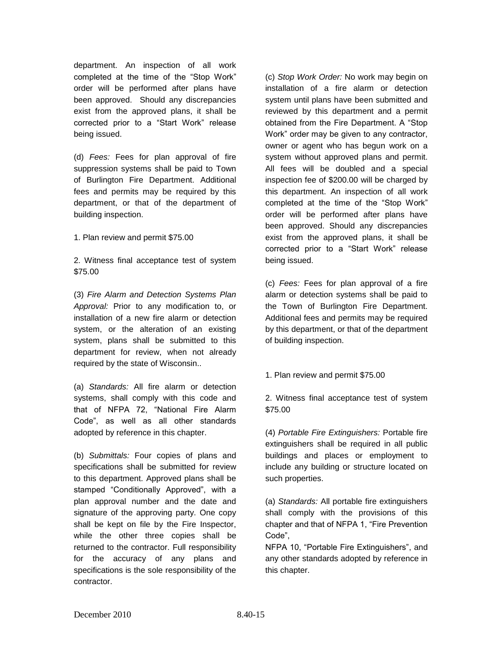department. An inspection of all work completed at the time of the "Stop Work" order will be performed after plans have been approved. Should any discrepancies exist from the approved plans, it shall be corrected prior to a "Start Work" release being issued.

(d) *Fees:* Fees for plan approval of fire suppression systems shall be paid to Town of Burlington Fire Department. Additional fees and permits may be required by this department, or that of the department of building inspection.

1. Plan review and permit \$75.00

2. Witness final acceptance test of system \$75.00

(3) *Fire Alarm and Detection Systems Plan Approval:* Prior to any modification to, or installation of a new fire alarm or detection system, or the alteration of an existing system, plans shall be submitted to this department for review, when not already required by the state of Wisconsin..

(a) *Standards:* All fire alarm or detection systems, shall comply with this code and that of NFPA 72, "National Fire Alarm Code", as well as all other standards adopted by reference in this chapter.

(b) *Submittals:* Four copies of plans and specifications shall be submitted for review to this department. Approved plans shall be stamped "Conditionally Approved", with a plan approval number and the date and signature of the approving party. One copy shall be kept on file by the Fire Inspector, while the other three copies shall be returned to the contractor. Full responsibility for the accuracy of any plans and specifications is the sole responsibility of the contractor.

(c) *Stop Work Order:* No work may begin on installation of a fire alarm or detection system until plans have been submitted and reviewed by this department and a permit obtained from the Fire Department. A "Stop Work" order may be given to any contractor, owner or agent who has begun work on a system without approved plans and permit. All fees will be doubled and a special inspection fee of \$200.00 will be charged by this department. An inspection of all work completed at the time of the "Stop Work" order will be performed after plans have been approved. Should any discrepancies exist from the approved plans, it shall be corrected prior to a "Start Work" release being issued.

(c) *Fees:* Fees for plan approval of a fire alarm or detection systems shall be paid to the Town of Burlington Fire Department. Additional fees and permits may be required by this department, or that of the department of building inspection.

1. Plan review and permit \$75.00

2. Witness final acceptance test of system \$75.00

(4) *Portable Fire Extinguishers:* Portable fire extinguishers shall be required in all public buildings and places or employment to include any building or structure located on such properties.

(a) *Standards:* All portable fire extinguishers shall comply with the provisions of this chapter and that of NFPA 1, "Fire Prevention Code",

NFPA 10, "Portable Fire Extinguishers", and any other standards adopted by reference in this chapter.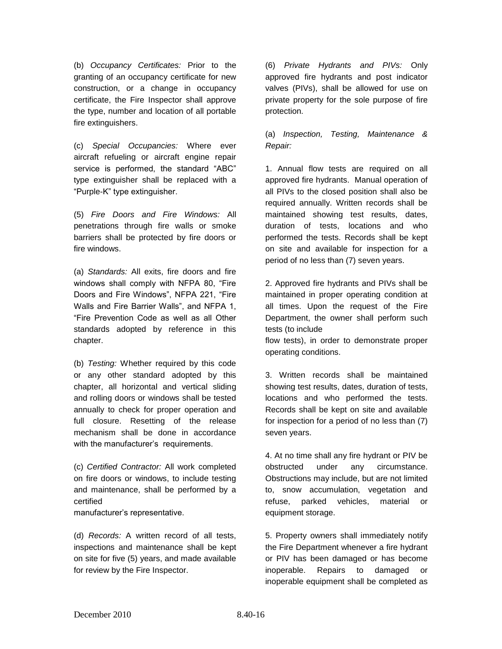(b) *Occupancy Certificates:* Prior to the granting of an occupancy certificate for new construction, or a change in occupancy certificate, the Fire Inspector shall approve the type, number and location of all portable fire extinguishers.

(c) *Special Occupancies:* Where ever aircraft refueling or aircraft engine repair service is performed, the standard "ABC" type extinguisher shall be replaced with a "Purple-K" type extinguisher.

(5) *Fire Doors and Fire Windows:* All penetrations through fire walls or smoke barriers shall be protected by fire doors or fire windows.

(a) *Standards:* All exits, fire doors and fire windows shall comply with NFPA 80, "Fire Doors and Fire Windows", NFPA 221, "Fire Walls and Fire Barrier Walls", and NFPA 1, "Fire Prevention Code as well as all Other standards adopted by reference in this chapter.

(b) *Testing:* Whether required by this code or any other standard adopted by this chapter, all horizontal and vertical sliding and rolling doors or windows shall be tested annually to check for proper operation and full closure. Resetting of the release mechanism shall be done in accordance with the manufacturer's requirements.

(c) *Certified Contractor:* All work completed on fire doors or windows, to include testing and maintenance, shall be performed by a certified

manufacturer's representative.

(d) *Records:* A written record of all tests, inspections and maintenance shall be kept on site for five (5) years, and made available for review by the Fire Inspector.

(6) *Private Hydrants and PIVs:* Only approved fire hydrants and post indicator valves (PIVs), shall be allowed for use on private property for the sole purpose of fire protection.

(a) *Inspection, Testing, Maintenance & Repair:*

1. Annual flow tests are required on all approved fire hydrants. Manual operation of all PIVs to the closed position shall also be required annually. Written records shall be maintained showing test results, dates, duration of tests, locations and who performed the tests. Records shall be kept on site and available for inspection for a period of no less than (7) seven years.

2. Approved fire hydrants and PIVs shall be maintained in proper operating condition at all times. Upon the request of the Fire Department, the owner shall perform such tests (to include

flow tests), in order to demonstrate proper operating conditions.

3. Written records shall be maintained showing test results, dates, duration of tests, locations and who performed the tests. Records shall be kept on site and available for inspection for a period of no less than (7) seven years.

4. At no time shall any fire hydrant or PIV be obstructed under any circumstance. Obstructions may include, but are not limited to, snow accumulation, vegetation and refuse, parked vehicles, material or equipment storage.

5. Property owners shall immediately notify the Fire Department whenever a fire hydrant or PIV has been damaged or has become inoperable. Repairs to damaged or inoperable equipment shall be completed as